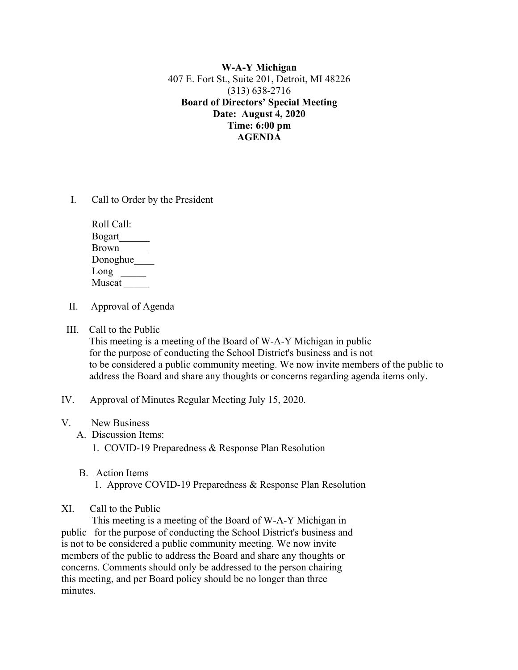**W-A-Y Michigan** 407 E. Fort St., Suite 201, Detroit, MI 48226 (313) 638-2716 **Board of Directors' Special Meeting Date: August 4, 2020 Time: 6:00 pm AGENDA**

I. Call to Order by the President

| Roll Call:    |
|---------------|
| <b>Bogart</b> |
| <b>Brown</b>  |
| Donoghue      |
| Long          |
| Muscat        |

- II. Approval of Agenda
- III. Call to the Public

 This meeting is a meeting of the Board of W-A-Y Michigan in public for the purpose of conducting the School District's business and is not to be considered a public community meeting. We now invite members of the public to address the Board and share any thoughts or concerns regarding agenda items only.

- IV. Approval of Minutes Regular Meeting July 15, 2020.
- V. New Business
	- A. Discussion Items:

1. COVID-19 Preparedness & Response Plan Resolution

 B. Action Items 1. Approve COVID-19 Preparedness & Response Plan Resolution

## XI. Call to the Public

 This meeting is a meeting of the Board of W-A-Y Michigan in public for the purpose of conducting the School District's business and is not to be considered a public community meeting. We now invite members of the public to address the Board and share any thoughts or concerns. Comments should only be addressed to the person chairing this meeting, and per Board policy should be no longer than three minutes.